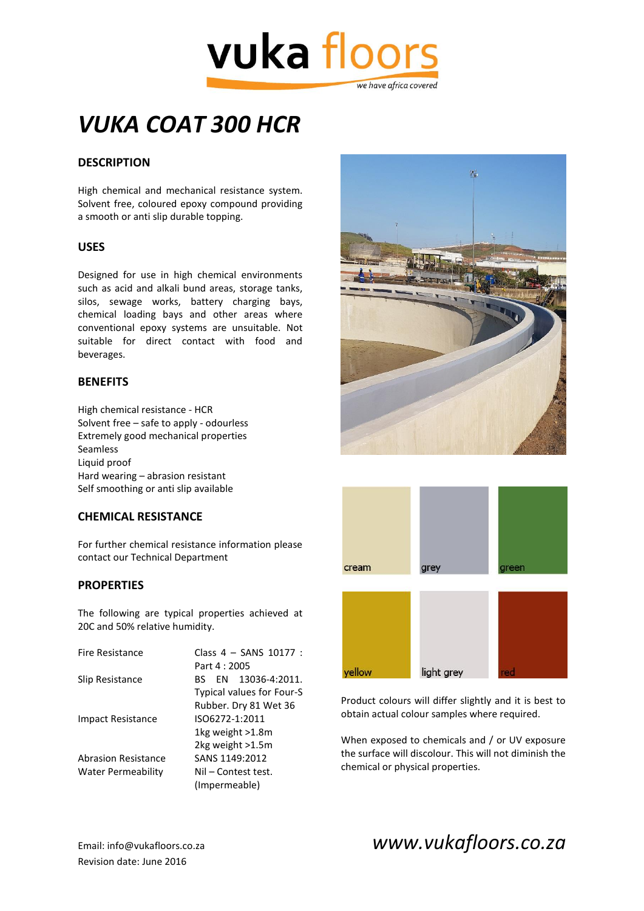

## *VUKA COAT 300 HCR*

#### **DESCRIPTION**

High chemical and mechanical resistance system. Solvent free, coloured epoxy compound providing a smooth or anti slip durable topping.

#### **USES**

Designed for use in high chemical environments such as acid and alkali bund areas, storage tanks, silos, sewage works, battery charging bays, chemical loading bays and other areas where conventional epoxy systems are unsuitable. Not suitable for direct contact with food and beverages.

#### **BENEFITS**

High chemical resistance - HCR Solvent free – safe to apply - odourless Extremely good mechanical properties Seamless Liquid proof Hard wearing – abrasion resistant Self smoothing or anti slip available

#### **CHEMICAL RESISTANCE**

For further chemical resistance information please contact our Technical Department

#### **PROPERTIES**

The following are typical properties achieved at 20C and 50% relative humidity.

| Fire Resistance            | Class 4 - SANS 10177 :    |
|----------------------------|---------------------------|
|                            | Part 4 : 2005             |
| Slip Resistance            | BS EN 13036-4:2011.       |
|                            | Typical values for Four-S |
|                            | Rubber. Dry 81 Wet 36     |
| <b>Impact Resistance</b>   | ISO6272-1:2011            |
|                            | 1kg weight >1.8m          |
|                            | 2kg weight >1.5m          |
| <b>Abrasion Resistance</b> | SANS 1149:2012            |
| Water Permeability         | Nil – Contest test.       |
|                            | (Impermeable)             |





Product colours will differ slightly and it is best to obtain actual colour samples where required.

When exposed to chemicals and / or UV exposure the surface will discolour. This will not diminish the chemical or physical properties.

Revision date: June 2016

### Email: info@vukafloors.co.za *www.vukafloors.co.za*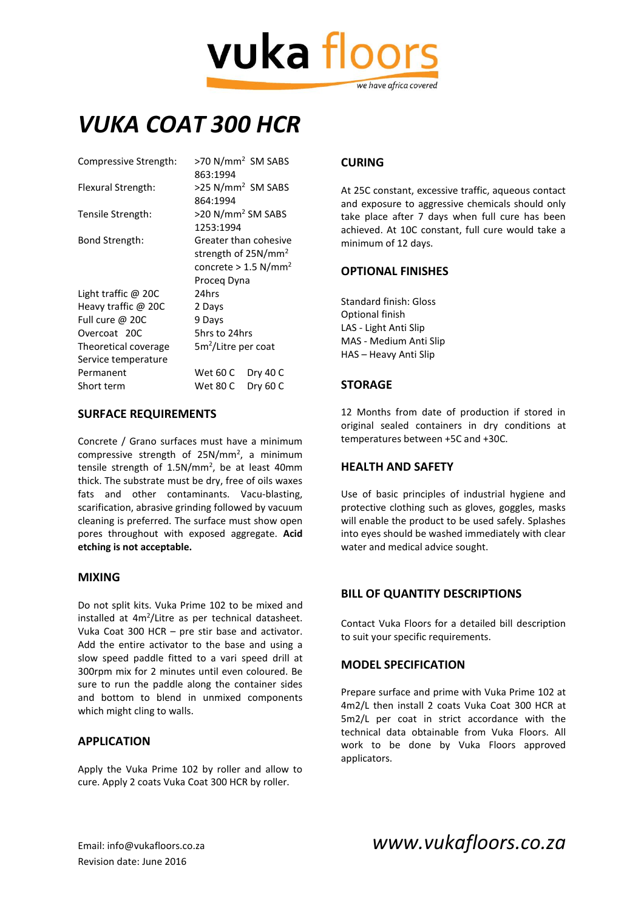# vuka floor we have africa covered

### *VUKA COAT 300 HCR*

| >70 N/mm <sup>2</sup> SM SABS      |
|------------------------------------|
| 863:1994                           |
| >25 N/mm <sup>2</sup> SM SABS      |
| 864:1994                           |
| >20 N/mm <sup>2</sup> SM SABS      |
| 1253:1994                          |
| Greater than cohesive              |
| strength of 25N/mm <sup>2</sup>    |
| concrete $> 1.5$ N/mm <sup>2</sup> |
| Proceg Dyna                        |
| 24hrs                              |
| 2 Days                             |
| 9 Days                             |
| 5hrs to 24hrs                      |
| 5m <sup>2</sup> /Litre per coat    |
|                                    |
| Wet 60 C<br>Dry 40 C               |
| Dry 60 C<br>Wet 80 C               |
|                                    |

#### **SURFACE REQUIREMENTS**

Concrete / Grano surfaces must have a minimum compressive strength of  $25N/mm^2$ , a minimum tensile strength of 1.5N/mm<sup>2</sup>, be at least 40mm thick. The substrate must be dry, free of oils waxes fats and other contaminants. Vacu-blasting, scarification, abrasive grinding followed by vacuum cleaning is preferred. The surface must show open pores throughout with exposed aggregate. **Acid etching is not acceptable.**

#### **MIXING**

Do not split kits. Vuka Prime 102 to be mixed and installed at 4m<sup>2</sup>/Litre as per technical datasheet. Vuka Coat 300 HCR – pre stir base and activator. Add the entire activator to the base and using a slow speed paddle fitted to a vari speed drill at 300rpm mix for 2 minutes until even coloured. Be sure to run the paddle along the container sides and bottom to blend in unmixed components which might cling to walls.

#### **APPLICATION**

Apply the Vuka Prime 102 by roller and allow to cure. Apply 2 coats Vuka Coat 300 HCR by roller.

#### **CURING**

At 25C constant, excessive traffic, aqueous contact and exposure to aggressive chemicals should only take place after 7 days when full cure has been achieved. At 10C constant, full cure would take a minimum of 12 days.

#### **OPTIONAL FINISHES**

Standard finish: Gloss Optional finish LAS - Light Anti Slip MAS - Medium Anti Slip HAS – Heavy Anti Slip

#### **STORAGE**

12 Months from date of production if stored in original sealed containers in dry conditions at temperatures between +5C and +30C.

#### **HEALTH AND SAFETY**

Use of basic principles of industrial hygiene and protective clothing such as gloves, goggles, masks will enable the product to be used safely. Splashes into eyes should be washed immediately with clear water and medical advice sought.

#### **BILL OF QUANTITY DESCRIPTIONS**

Contact Vuka Floors for a detailed bill description to suit your specific requirements.

#### **MODEL SPECIFICATION**

Prepare surface and prime with Vuka Prime 102 at 4m2/L then install 2 coats Vuka Coat 300 HCR at 5m2/L per coat in strict accordance with the technical data obtainable from Vuka Floors. All work to be done by Vuka Floors approved applicators.